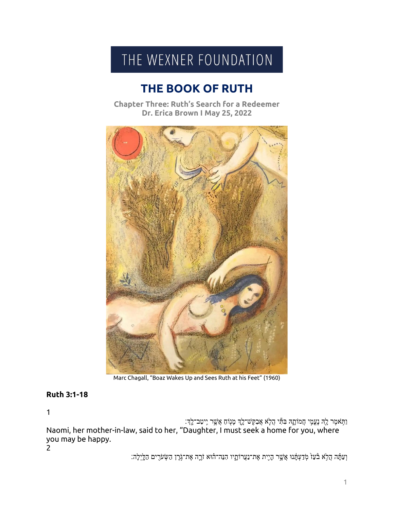## THE WEXNER FOUNDATION

## **THE BOOK OF RUTH**

**Chapter Three: Ruth's Search for a Redeemer** Dr. Erica Brown I May 25, 2022



Marc Chagall, "Boaz Wakes Up and Sees Ruth at his Feet" (1960)

## **Ruth 3:1-18**

 $\mathbf{1}$ 

וַתַּאמֶר לָהִ נְעֲמֶי חֲמֹוֹתֶהּ בִּתֵּי הֲלָא אֲבַקֶּשׁ־לֶךָ מֲנָוֹם אֲשֶׁר יְיטַב־לֶךְ: Naomi, her mother-in-law, said to her, "Daughter, I must seek a home for you, where you may be happy.

 $\overline{2}$ 

וְעַתָּה הֲלָא בּٛעַז໌ מְדַעְתָּ֫נוּ אֲשֱר הָיֶת אֶת־נַעֲרוֹתֳָיו הִנֵּה־הוֹא זֹרֱה אֶת־גָּׂרֶן הַשְׂעֹרֶים הַלֵּיְלָה: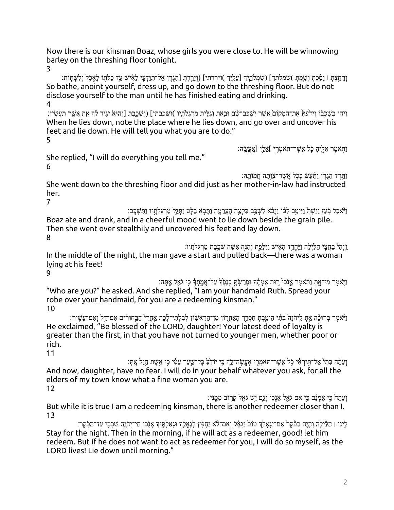Now there is our kinsman Boaz, whose girls you were close to. He will be winnowing barley on the threshing floor tonight.

3

וְרַ הַצְהָ ו וַסַּכְתְּ וְשֵׂמְתְּ )שמלתך] (שִׂמְלֹתֲיִךְ [עֲלֵיֶךְ )וירדתי] (וְיַרְדָתְּ [הַגְּרֵן אֲל־תְּוַדְעֵי לַאָּישׁ עַד כַּלֹתְוֹ לָאֱכְל וְלִשְׁתְּוֹת: So bathe, anoint yourself, dress up, and go down to the threshing floor. But do not disclose yourself to the man until he has finished eating and drinking. 4

וִיהִי בְשָׁכְבֹו וְיָדַעַתְּ אֶת־הַמֶּקוֹם אֲשֶר יִשְׁכַּב־שָׂם וּבָאת וְגִלִּית מַרְגִּלֹתָוִי )ושכבתי] (וְשָׁכֶבְתְּ [וְהוּא יַגֵּיד לַוְ אֵת אֲשֵׁר תַּעֲשֵׂין: When he lies down, note the place where he lies down, and go over and uncover his feet and lie down. He will tell you what you are to do." 5

ַּוַתְּאמֶר אֱלֵיהַ כֶּל אֲשֶׁר־תּאמְרִי ]אֱלֵי [אֱעֱשֶׂה:

She replied, "I will do everything you tell me." 6

וַתְּרֵד הַגְּרֵן וַתַּעֲשׂ כְּכִל אֲשֶׁר־צְוַתֲה חֲמוֹתֵהּ:

She went down to the threshing floor and did just as her mother-in-law had instructed her.

7

וַיֹּאכַל בָּעַז וַיֵּשְׁתָּ וַיִּיטֵב לְבֹּוֹ וַיַּבٌא לְשָׁכֵּב בִּקְצֵה הָעֲרָמֶה וַתַּבְא בַלָּט וַתְּגֵל מַרְגִּלֹתָיו וַתְּשָׁכֵּב: Boaz ate and drank, and in a cheerful mood went to lie down beside the grain pile. Then she went over stealthily and uncovered his feet and lay down. 8

וֵיָה בַּחֲצֵי הַלַּיִלַה וַיֵּחֲרֵד הַאָישׁ וַיִּלְפֵת וְהִנֵּה אָשֶּׁה שֹׁכֶבֵת מַרְגִּלֹתֲיו:

In the middle of the night, the man gave a start and pulled back—there was a woman lying at his feet! 9

וַיָּאמֶר מִי־אֶתְ וַתֹּאמֶר אֲנִכִי רָוּת אֲמָהֶד וּפְרַשְׂתָּ כְנָפֶן ּ עַל־אֲמֶתְדָּ כִּי גֹאֵל אֶתָּה: "Who are you?" he asked. And she replied, "I am your handmaid Ruth. Spread your robe over your handmaid, for you are a redeeming kinsman." 10

ַוְיֹּאמֶר בְּרוּכָּה אַתְּ לִיהֹוָה בִּתְּי הֵיטֵבְתְּ חַסְדֵּךְ הָאַחֲרָוֹן מִן־הָרָאשֶׁוֹן לְבָלְתִּי־לֶכֶת אָחֲרֵי הַבַּחוּרִים אִם־דַלִ וְאִם־עָּשִׁיר: He exclaimed, "Be blessed of the LORD, daughter! Your latest deed of loyalty is greater than the first, in that you have not turned to younger men, whether poor or rich.

11

וְעַתָּה בְּתִי אַל־תֵּירְאִי כִּל אֲשֶׁר־תּאמֶרִי אֶעֱשֶׂה־לֵךְ כֵּי יוֹדֵעָ כַּל־שֵׁעֲר עַמִּי כֵּי אֲשֶׁת חַיָל אַתְּ And now, daughter, have no fear. I will do in your behalf whatever you ask, for all the elders of my town know what a fine woman you are. 12

וְ עַתַּה כֵּי אָמְנָם כֵּי אִם גֹאֵל אַנָּכִי וְגֵם יֵשׁ גֹּאֵל קַרוֹב מְמֵֽנִּי: But while it is true I am a redeeming kinsman, there is another redeemer closer than I. 13

לִינִי | הַלַּיִלה וְהַיֵה בַבּּקֵר אֲם־יִגְאֲלֵךְ טוֹב<sup>י</sup> יָגְאֵל וְאָם־לֹא יַחִפְּץ לְגָאֲלֵךְ וּגְאַלְתֶּיךְ אֶנְכִי חַי־יְהֹוֶה שִׁכְבִי עַד־הַבְּקֶר: Stay for the night. Then in the morning, if he will act as a redeemer, good! let him redeem. But if he does not want to act as redeemer for you, I will do so myself, as the LORD lives! Lie down until morning."